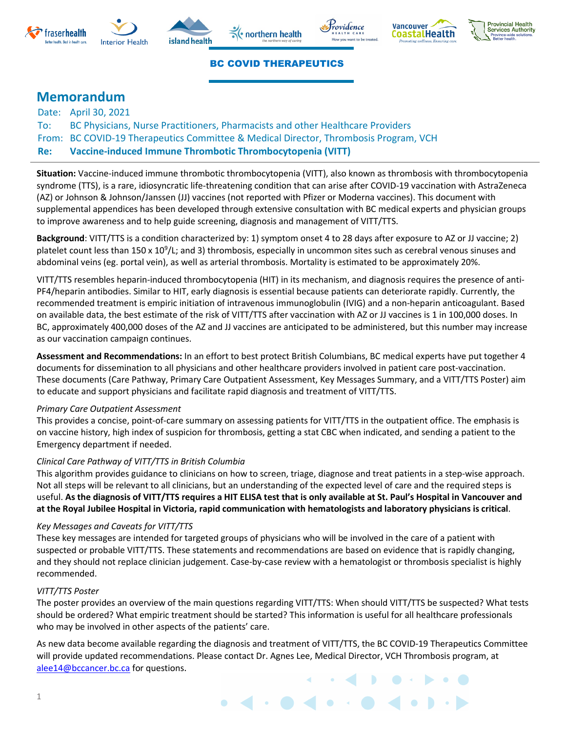











#### BC COVID THERAPEUTICS

### **Memorandum**

Date: April 30, 2021 To: BC Physicians, Nurse Practitioners, Pharmacists and other Healthcare Providers From: BC COVID-19 Therapeutics Committee & Medical Director, Thrombosis Program, VCH **Re: Vaccine-induced Immune Thrombotic Thrombocytopenia (VITT)**

**Situation:** Vaccine-induced immune thrombotic thrombocytopenia (VITT), also known as thrombosis with thrombocytopenia syndrome (TTS), is a rare, idiosyncratic life-threatening condition that can arise after COVID-19 vaccination with AstraZeneca (AZ) or Johnson & Johnson/Janssen (JJ) vaccines (not reported with Pfizer or Moderna vaccines). This document with supplemental appendices has been developed through extensive consultation with BC medical experts and physician groups to improve awareness and to help guide screening, diagnosis and management of VITT/TTS.

**Background**: VITT/TTS is a condition characterized by: 1) symptom onset 4 to 28 days after exposure to AZ or JJ vaccine; 2) platelet count less than 150 x 10<sup>9</sup>/L; and 3) thrombosis, especially in uncommon sites such as cerebral venous sinuses and abdominal veins (eg. portal vein), as well as arterial thrombosis. Mortality is estimated to be approximately 20%.

VITT/TTS resembles heparin-induced thrombocytopenia (HIT) in its mechanism, and diagnosis requires the presence of anti-PF4/heparin antibodies. Similar to HIT, early diagnosis is essential because patients can deteriorate rapidly. Currently, the recommended treatment is empiric initiation of intravenous immunoglobulin (IVIG) and a non-heparin anticoagulant. Based on available data, the best estimate of the risk of VITT/TTS after vaccination with AZ or JJ vaccines is 1 in 100,000 doses. In BC, approximately 400,000 doses of the AZ and JJ vaccines are anticipated to be administered, but this number may increase as our vaccination campaign continues.

**Assessment and Recommendations:** In an effort to best protect British Columbians, BC medical experts have put together 4 documents for dissemination to all physicians and other healthcare providers involved in patient care post-vaccination. These documents (Care Pathway, Primary Care Outpatient Assessment, Key Messages Summary, and a VITT/TTS Poster) aim to educate and support physicians and facilitate rapid diagnosis and treatment of VITT/TTS.

#### *Primary Care Outpatient Assessment*

This provides a concise, point-of-care summary on assessing patients for VITT/TTS in the outpatient office. The emphasis is on vaccine history, high index of suspicion for thrombosis, getting a stat CBC when indicated, and sending a patient to the Emergency department if needed.

#### *Clinical Care Pathway of VITT/TTS in British Columbia*

This algorithm provides guidance to clinicians on how to screen, triage, diagnose and treat patients in a step-wise approach. Not all steps will be relevant to all clinicians, but an understanding of the expected level of care and the required steps is useful. **As the diagnosis of VITT/TTS requires a HIT ELISA test that is only available at St. Paul's Hospital in Vancouver and at the Royal Jubilee Hospital in Victoria, rapid communication with hematologists and laboratory physicians is critical**.

#### *Key Messages and Caveats for VITT/TTS*

These key messages are intended for targeted groups of physicians who will be involved in the care of a patient with suspected or probable VITT/TTS. These statements and recommendations are based on evidence that is rapidly changing, and they should not replace clinician judgement. Case-by-case review with a hematologist or thrombosis specialist is highly recommended.

#### *VITT/TTS Poster*

The poster provides an overview of the main questions regarding VITT/TTS: When should VITT/TTS be suspected? What tests should be ordered? What empiric treatment should be started? This information is useful for all healthcare professionals who may be involved in other aspects of the patients' care.

As new data become available regarding the diagnosis and treatment of VITT/TTS, the BC COVID-19 Therapeutics Committee will provide updated recommendations. Please contact Dr. Agnes Lee, Medical Director, VCH Thrombosis program, at [alee14@bccancer.bc.ca](mailto:alee14@bccancer.bc.ca) for questions.

 $\bullet$  d  $\bullet$  d  $\bullet$  d  $\bullet$  d  $\bullet$  d  $\bullet$  d  $\bullet$  d  $\bullet$  d  $\bullet$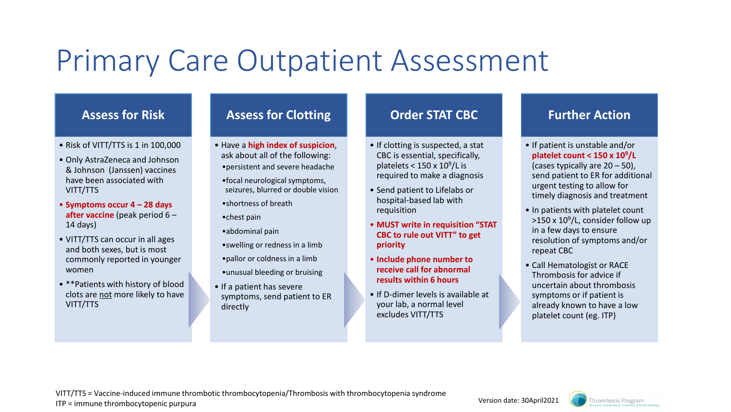# Primary Care Outpatient Assessment

## **Assess for Risk**

- Risk of VITT/TTS is 1 in 100,000
- Only AstraZeneca and Johnson & Johnson (Janssen) vaccines have been associated with VITT/TTS
- **Symptoms occur 4 – 28 days after vaccine** (peak period 6 – 14 days)
- VITT/TTS can occur in all ages and both sexes, but is most commonly reported in younger women
- \*\*Patients with history of blood clots are not more likely to have VITT/TTS

# **Assess for Clotting**

- Have a **high index of suspicion**, ask about all of the following: •persistent and severe headache
	- •focal neurological symptoms, seizures, blurred or double vision
	- •shortness of breath
	- •chest pain
	- •abdominal pain
	- •swelling or redness in a limb
	- •pallor or coldness in a limb
	- •unusual bleeding or bruising
- If a patient has severe symptoms, send patient to ER directly

## **Order STAT CBC**

- If clotting is suspected, a stat CBC is essential, specifically, platelets <  $150 \times 10^9$ /L is required to make a diagnosis
- Send patient to Lifelabs or hospital-based lab with requisition
- **MUST write in requisition "STAT CBC to rule out VITT" to get priority**
- **Include phone number to receive call for abnormal results within 6 hours**
- If D-dimer levels is available at your lab, a normal level excludes VITT/TTS

## **Further Action**

- If patient is unstable and/or **platelet count < 150 x 109/L**  (cases typically are 20 – 50), send patient to ER for additional urgent testing to allow for timely diagnosis and treatment
- In patients with platelet count  $>150 \times 10^9$ /L, consider follow up in a few days to ensure resolution of symptoms and/or repeat CBC
- Call Hematologist or RACE Thrombosis for advice if uncertain about thrombosis symptoms or if patient is already known to have a low platelet count (eg. ITP)



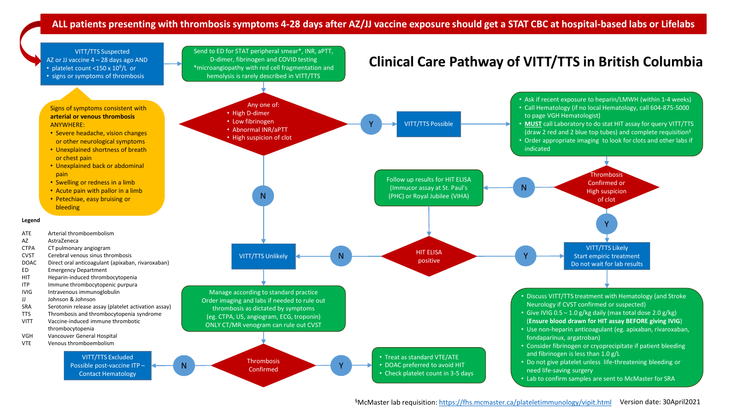### **ALL patients presenting with thrombosis symptoms 4-28 days after AZ/JJ vaccine exposure should get a STAT CBC at hospital-based labs or Lifelabs**



§McMaster lab requisition: <https://fhs.mcmaster.ca/plateletimmunology/vipit.html> Version date: 30April2021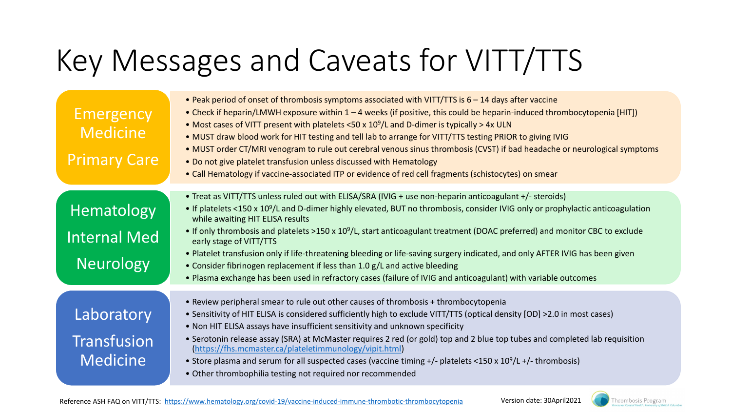# Key Messages and Caveats for VITT/TTS

| Emergency<br><b>Medicine</b><br><b>Primary Care</b> | . Peak period of onset of thrombosis symptoms associated with VITT/TTS is 6 - 14 days after vaccine<br>• Check if heparin/LMWH exposure within 1 – 4 weeks (if positive, this could be heparin-induced thrombocytopenia [HIT])<br>• Most cases of VITT present with platelets <50 x $10^9$ /L and D-dimer is typically > 4x ULN<br>. MUST draw blood work for HIT testing and tell lab to arrange for VITT/TTS testing PRIOR to giving IVIG<br>• MUST order CT/MRI venogram to rule out cerebral venous sinus thrombosis (CVST) if bad headache or neurological symptoms<br>. Do not give platelet transfusion unless discussed with Hematology<br>• Call Hematology if vaccine-associated ITP or evidence of red cell fragments (schistocytes) on smear |
|-----------------------------------------------------|----------------------------------------------------------------------------------------------------------------------------------------------------------------------------------------------------------------------------------------------------------------------------------------------------------------------------------------------------------------------------------------------------------------------------------------------------------------------------------------------------------------------------------------------------------------------------------------------------------------------------------------------------------------------------------------------------------------------------------------------------------|
|                                                     | • Treat as VITT/TTS unless ruled out with ELISA/SRA (IVIG + use non-heparin anticoagulant +/- steroids)                                                                                                                                                                                                                                                                                                                                                                                                                                                                                                                                                                                                                                                  |
| Hematology                                          | • If platelets <150 x 10 <sup>9</sup> /L and D-dimer highly elevated, BUT no thrombosis, consider IVIG only or prophylactic anticoagulation<br>while awaiting HIT ELISA results                                                                                                                                                                                                                                                                                                                                                                                                                                                                                                                                                                          |
| <b>Internal Med</b>                                 | • If only thrombosis and platelets >150 x $10^9$ /L, start anticoagulant treatment (DOAC preferred) and monitor CBC to exclude<br>early stage of VITT/TTS                                                                                                                                                                                                                                                                                                                                                                                                                                                                                                                                                                                                |
| <b>Neurology</b>                                    | . Platelet transfusion only if life-threatening bleeding or life-saving surgery indicated, and only AFTER IVIG has been given<br>• Consider fibrinogen replacement if less than 1.0 g/L and active bleeding<br>. Plasma exchange has been used in refractory cases (failure of IVIG and anticoagulant) with variable outcomes                                                                                                                                                                                                                                                                                                                                                                                                                            |
|                                                     |                                                                                                                                                                                                                                                                                                                                                                                                                                                                                                                                                                                                                                                                                                                                                          |
| Laboratory<br>Transfusion                           | • Review peripheral smear to rule out other causes of thrombosis + thrombocytopenia<br>• Sensitivity of HIT ELISA is considered sufficiently high to exclude VITT/TTS (optical density [OD] >2.0 in most cases)<br>• Non HIT ELISA assays have insufficient sensitivity and unknown specificity<br>• Serotonin release assay (SRA) at McMaster requires 2 red (or gold) top and 2 blue top tubes and completed lab requisition<br>(https://fhs.mcmaster.ca/plateletimmunology/vipit.html)                                                                                                                                                                                                                                                                |
| <b>Medicine</b>                                     | • Store plasma and serum for all suspected cases (vaccine timing $+/-$ platelets <150 x 10 <sup>9</sup> /L $+/-$ thrombosis)<br>• Other thrombophilia testing not required nor recommended                                                                                                                                                                                                                                                                                                                                                                                                                                                                                                                                                               |